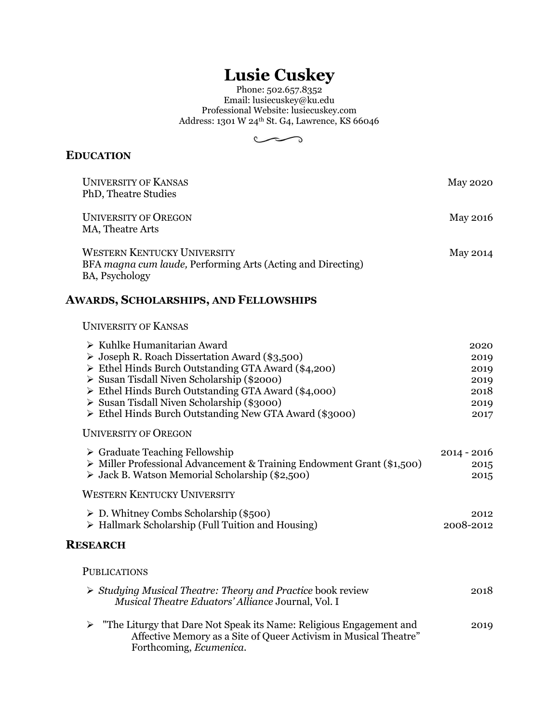# **Lusie Cuskey**

Phone: 502.657.8352 Email: lusiecuskey@ku.edu Professional Website: lusiecuskey.com Address: 1301 W 24<sup>th</sup> St. G4, Lawrence, KS 66046



### **EDUCATION**

| <b>UNIVERSITY OF KANSAS</b><br>PhD, Theatre Studies                                                                 | <b>May 2020</b> |
|---------------------------------------------------------------------------------------------------------------------|-----------------|
| <b>UNIVERSITY OF OREGON</b><br>MA, Theatre Arts                                                                     | <b>May 2016</b> |
| <b>WESTERN KENTUCKY UNIVERSITY</b><br>BFA magna cum laude, Performing Arts (Acting and Directing)<br>BA, Psychology | May 2014        |
| <b>AWARDS, SCHOLARSHIPS, AND FELLOWSHIPS</b>                                                                        |                 |
| <b>UNIVERSITY OF KANSAS</b>                                                                                         |                 |
| $\triangleright$ Kuhlke Humanitarian Award                                                                          | 2020            |
| $\triangleright$ Joseph R. Roach Dissertation Award (\$3,500)                                                       | 2019            |
| $\triangleright$ Ethel Hinds Burch Outstanding GTA Award (\$4,200)                                                  | 2019            |
| Susan Tisdall Niven Scholarship (\$2000)                                                                            | 2019            |
| > Ethel Hinds Burch Outstanding GTA Award (\$4,000)                                                                 | 2018            |
| Susan Tisdall Niven Scholarship (\$3000)<br>Ethel Hinds Burch Outstanding New GTA Award (\$3000)                    | 2019<br>2017    |
| <b>UNIVERSITY OF OREGON</b>                                                                                         |                 |
| $\triangleright$ Graduate Teaching Fellowship                                                                       | $2014 - 2016$   |
| > Miller Professional Advancement & Training Endowment Grant (\$1,500)                                              | 2015            |
| $\triangleright$ Jack B. Watson Memorial Scholarship (\$2,500)                                                      | 2015            |
| <b>WESTERN KENTUCKY UNIVERSITY</b>                                                                                  |                 |
| $\triangleright$ D. Whitney Combs Scholarship (\$500)                                                               | 2012            |
| $\triangleright$ Hallmark Scholarship (Full Tuition and Housing)                                                    | 2008-2012       |
| <b>RESEARCH</b>                                                                                                     |                 |
|                                                                                                                     |                 |

#### PUBLICATIONS

| $\triangleright$ Studying Musical Theatre: Theory and Practice book review<br>Musical Theatre Eduators' Alliance Journal, Vol. I                         | 2018 |
|----------------------------------------------------------------------------------------------------------------------------------------------------------|------|
| $\triangleright$ "The Liturgy that Dare Not Speak its Name: Religious Engagement and<br>Affective Memory as a Site of Queer Activism in Musical Theatre" | 2019 |

Forthcoming, *Ecumenica.*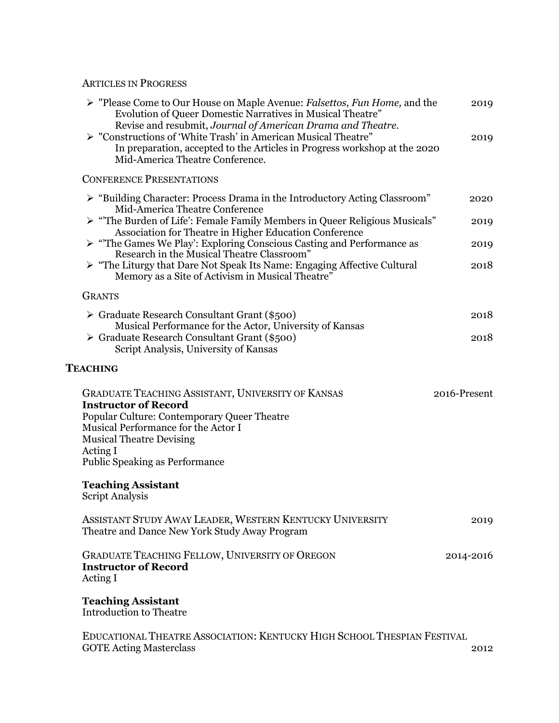#### ARTICLES IN PROGRESS

| ► "Please Come to Our House on Maple Avenue: Falsettos, Fun Home, and the<br>Evolution of Queer Domestic Narratives in Musical Theatre"<br>Revise and resubmit, Journal of American Drama and Theatre.<br>> "Constructions of 'White Trash' in American Musical Theatre"<br>In preparation, accepted to the Articles in Progress workshop at the 2020<br>Mid-America Theatre Conference. | 2019<br>2019 |
|------------------------------------------------------------------------------------------------------------------------------------------------------------------------------------------------------------------------------------------------------------------------------------------------------------------------------------------------------------------------------------------|--------------|
| <b>CONFERENCE PRESENTATIONS</b>                                                                                                                                                                                                                                                                                                                                                          |              |
| > "Building Character: Process Drama in the Introductory Acting Classroom"<br>Mid-America Theatre Conference                                                                                                                                                                                                                                                                             | 2020         |
| > "The Burden of Life': Female Family Members in Queer Religious Musicals"                                                                                                                                                                                                                                                                                                               | 2019         |
| Association for Theatre in Higher Education Conference<br>$\triangleright$ "The Games We Play': Exploring Conscious Casting and Performance as                                                                                                                                                                                                                                           | 2019         |
| Research in the Musical Theatre Classroom"<br>$\triangleright$ "The Liturgy that Dare Not Speak Its Name: Engaging Affective Cultural<br>Memory as a Site of Activism in Musical Theatre"                                                                                                                                                                                                | 2018         |
| <b>GRANTS</b>                                                                                                                                                                                                                                                                                                                                                                            |              |
| ≻ Graduate Research Consultant Grant (\$500)                                                                                                                                                                                                                                                                                                                                             | 2018         |
| Musical Performance for the Actor, University of Kansas<br>≻ Graduate Research Consultant Grant (\$500)<br>Script Analysis, University of Kansas                                                                                                                                                                                                                                         | 2018         |
| <b>TEACHING</b>                                                                                                                                                                                                                                                                                                                                                                          |              |
| <b>GRADUATE TEACHING ASSISTANT, UNIVERSITY OF KANSAS</b><br><b>Instructor of Record</b><br>Popular Culture: Contemporary Queer Theatre<br>Musical Performance for the Actor I<br><b>Musical Theatre Devising</b><br>Acting I<br><b>Public Speaking as Performance</b>                                                                                                                    | 2016-Present |
| <b>Teaching Assistant</b><br><b>Script Analysis</b>                                                                                                                                                                                                                                                                                                                                      |              |
| ASSISTANT STUDY AWAY LEADER, WESTERN KENTUCKY UNIVERSITY<br>Theatre and Dance New York Study Away Program                                                                                                                                                                                                                                                                                | 2019         |
| <b>GRADUATE TEACHING FELLOW, UNIVERSITY OF OREGON</b><br><b>Instructor of Record</b><br>Acting I                                                                                                                                                                                                                                                                                         | 2014-2016    |
| <b>Teaching Assistant</b><br><b>Introduction to Theatre</b>                                                                                                                                                                                                                                                                                                                              |              |
| EDUCATIONAL THEATRE ASSOCIATION: KENTUCKY HIGH SCHOOL THESPIAN FESTIVAL<br><b>GOTE Acting Masterclass</b>                                                                                                                                                                                                                                                                                | 2012         |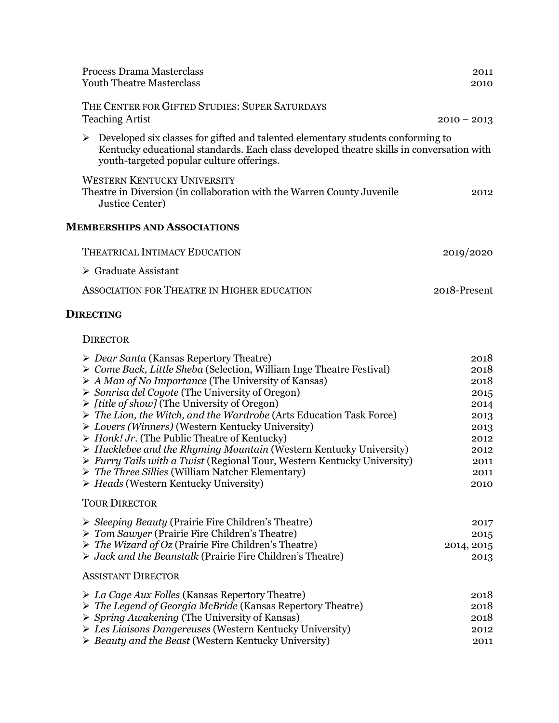| Process Drama Masterclass<br><b>Youth Theatre Masterclass</b>                                                                                                                                                                                                                                                                                                                                                                                                                                                                                                                                                                                                                                                                                                                                                                                    | 2011<br>2010                                                                                 |
|--------------------------------------------------------------------------------------------------------------------------------------------------------------------------------------------------------------------------------------------------------------------------------------------------------------------------------------------------------------------------------------------------------------------------------------------------------------------------------------------------------------------------------------------------------------------------------------------------------------------------------------------------------------------------------------------------------------------------------------------------------------------------------------------------------------------------------------------------|----------------------------------------------------------------------------------------------|
| THE CENTER FOR GIFTED STUDIES: SUPER SATURDAYS<br><b>Teaching Artist</b>                                                                                                                                                                                                                                                                                                                                                                                                                                                                                                                                                                                                                                                                                                                                                                         | $2010 - 2013$                                                                                |
| Developed six classes for gifted and talented elementary students conforming to<br>➤<br>Kentucky educational standards. Each class developed theatre skills in conversation with<br>youth-targeted popular culture offerings.                                                                                                                                                                                                                                                                                                                                                                                                                                                                                                                                                                                                                    |                                                                                              |
| <b>WESTERN KENTUCKY UNIVERSITY</b><br>Theatre in Diversion (in collaboration with the Warren County Juvenile<br>Justice Center)                                                                                                                                                                                                                                                                                                                                                                                                                                                                                                                                                                                                                                                                                                                  | 2012                                                                                         |
| <b>MEMBERSHIPS AND ASSOCIATIONS</b>                                                                                                                                                                                                                                                                                                                                                                                                                                                                                                                                                                                                                                                                                                                                                                                                              |                                                                                              |
| <b>THEATRICAL INTIMACY EDUCATION</b>                                                                                                                                                                                                                                                                                                                                                                                                                                                                                                                                                                                                                                                                                                                                                                                                             | 2019/2020                                                                                    |
| $\triangleright$ Graduate Assistant                                                                                                                                                                                                                                                                                                                                                                                                                                                                                                                                                                                                                                                                                                                                                                                                              |                                                                                              |
| ASSOCIATION FOR THEATRE IN HIGHER EDUCATION                                                                                                                                                                                                                                                                                                                                                                                                                                                                                                                                                                                                                                                                                                                                                                                                      | 2018-Present                                                                                 |
| <b>DIRECTING</b>                                                                                                                                                                                                                                                                                                                                                                                                                                                                                                                                                                                                                                                                                                                                                                                                                                 |                                                                                              |
| <b>DIRECTOR</b>                                                                                                                                                                                                                                                                                                                                                                                                                                                                                                                                                                                                                                                                                                                                                                                                                                  |                                                                                              |
| $\triangleright$ <i>Dear Santa</i> (Kansas Repertory Theatre)<br>▶ Come Back, Little Sheba (Selection, William Inge Theatre Festival)<br>$\triangleright$ A Man of No Importance (The University of Kansas)<br>$\triangleright$ Sonrisa del Coyote (The University of Oregon)<br>$\triangleright$ [title of show] (The University of Oregon)<br>> The Lion, the Witch, and the Wardrobe (Arts Education Task Force)<br>> Lovers (Winners) (Western Kentucky University)<br>$\triangleright$ Honk! Jr. (The Public Theatre of Kentucky)<br>$\triangleright$ Hucklebee and the Rhyming Mountain (Western Kentucky University)<br>$\triangleright$ Furry Tails with a Twist (Regional Tour, Western Kentucky University)<br>$\triangleright$ The Three Sillies (William Natcher Elementary)<br>$\triangleright$ Heads (Western Kentucky University) | 2018<br>2018<br>2018<br>2015<br>2014<br>2013<br>2013<br>2012<br>2012<br>2011<br>2011<br>2010 |
| <b>TOUR DIRECTOR</b>                                                                                                                                                                                                                                                                                                                                                                                                                                                                                                                                                                                                                                                                                                                                                                                                                             |                                                                                              |
| $\triangleright$ <i>Sleeping Beauty</i> (Prairie Fire Children's Theatre)<br>> Tom Sawyer (Prairie Fire Children's Theatre)<br>$\triangleright$ The Wizard of Oz (Prairie Fire Children's Theatre)<br>$\triangleright$ Jack and the Beanstalk (Prairie Fire Children's Theatre)                                                                                                                                                                                                                                                                                                                                                                                                                                                                                                                                                                  | 2017<br>2015<br>2014, 2015<br>2013                                                           |
| <b>ASSISTANT DIRECTOR</b>                                                                                                                                                                                                                                                                                                                                                                                                                                                                                                                                                                                                                                                                                                                                                                                                                        |                                                                                              |
| $\triangleright$ La Cage Aux Folles (Kansas Repertory Theatre)<br>$\triangleright$ The Legend of Georgia McBride (Kansas Repertory Theatre)<br>$\triangleright$ Spring Awakening (The University of Kansas)<br>> Les Liaisons Dangereuses (Western Kentucky University)<br>$\triangleright$ Beauty and the Beast (Western Kentucky University)                                                                                                                                                                                                                                                                                                                                                                                                                                                                                                   | 2018<br>2018<br>2018<br>2012<br>2011                                                         |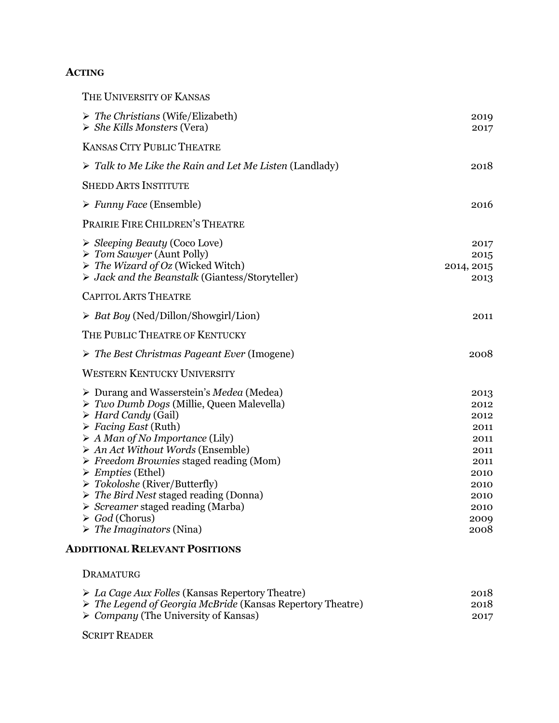## **ACTING**

| THE UNIVERSITY OF KANSAS                                                                                                                                                                                                                                                                                                                                                                                                                                                                                                                                                                                         |                                                                                              |
|------------------------------------------------------------------------------------------------------------------------------------------------------------------------------------------------------------------------------------------------------------------------------------------------------------------------------------------------------------------------------------------------------------------------------------------------------------------------------------------------------------------------------------------------------------------------------------------------------------------|----------------------------------------------------------------------------------------------|
| $\triangleright$ The Christians (Wife/Elizabeth)<br>$\triangleright$ She Kills Monsters (Vera)                                                                                                                                                                                                                                                                                                                                                                                                                                                                                                                   | 2019<br>2017                                                                                 |
| <b>KANSAS CITY PUBLIC THEATRE</b>                                                                                                                                                                                                                                                                                                                                                                                                                                                                                                                                                                                |                                                                                              |
| $\triangleright$ Talk to Me Like the Rain and Let Me Listen (Landlady)                                                                                                                                                                                                                                                                                                                                                                                                                                                                                                                                           | 2018                                                                                         |
| <b>SHEDD ARTS INSTITUTE</b>                                                                                                                                                                                                                                                                                                                                                                                                                                                                                                                                                                                      |                                                                                              |
| $\triangleright$ Funny Face (Ensemble)                                                                                                                                                                                                                                                                                                                                                                                                                                                                                                                                                                           | 2016                                                                                         |
| PRAIRIE FIRE CHILDREN'S THEATRE                                                                                                                                                                                                                                                                                                                                                                                                                                                                                                                                                                                  |                                                                                              |
| $\triangleright$ Sleeping Beauty (Coco Love)<br>$\triangleright$ Tom Sawyer (Aunt Polly)<br>$\triangleright$ The Wizard of Oz (Wicked Witch)<br>$\triangleright$ Jack and the Beanstalk (Giantess/Storyteller)                                                                                                                                                                                                                                                                                                                                                                                                   | 2017<br>2015<br>2014, 2015<br>2013                                                           |
| <b>CAPITOL ARTS THEATRE</b>                                                                                                                                                                                                                                                                                                                                                                                                                                                                                                                                                                                      |                                                                                              |
| $\triangleright$ <i>Bat Boy</i> (Ned/Dillon/Showgirl/Lion)                                                                                                                                                                                                                                                                                                                                                                                                                                                                                                                                                       | 2011                                                                                         |
| THE PUBLIC THEATRE OF KENTUCKY                                                                                                                                                                                                                                                                                                                                                                                                                                                                                                                                                                                   |                                                                                              |
| $\triangleright$ The Best Christmas Pageant Ever (Imogene)                                                                                                                                                                                                                                                                                                                                                                                                                                                                                                                                                       | 2008                                                                                         |
| <b>WESTERN KENTUCKY UNIVERSITY</b>                                                                                                                                                                                                                                                                                                                                                                                                                                                                                                                                                                               |                                                                                              |
| $\triangleright$ Durang and Wasserstein's Medea (Medea)<br>$\triangleright$ Two Dumb Dogs (Millie, Queen Malevella)<br>$\triangleright$ Hard Candy (Gail)<br>$\triangleright$ Facing East (Ruth)<br>$\triangleright$ A Man of No Importance (Lily)<br>$\triangleright$ An Act Without Words (Ensemble)<br>$\triangleright$ Freedom Brownies staged reading (Mom)<br>$\triangleright$ <i>Empties</i> (Ethel)<br>$\triangleright$ Tokoloshe (River/Butterfly)<br>$\triangleright$ The Bird Nest staged reading (Donna)<br>$\triangleright$ <i>Screamer</i> staged reading (Marba)<br>$\triangleright$ God (Chorus) | 2013<br>2012<br>2012<br>2011<br>2011<br>2011<br>2011<br>2010<br>2010<br>2010<br>2010<br>2009 |
| $\triangleright$ The Imaginators (Nina)                                                                                                                                                                                                                                                                                                                                                                                                                                                                                                                                                                          | 2008                                                                                         |

## **ADDITIONAL RELEVANT POSITIONS**

DRAMATURG

| $\triangleright$ La Cage Aux Folles (Kansas Repertory Theatre)            | 2018 |
|---------------------------------------------------------------------------|------|
| $\triangleright$ The Legend of Georgia McBride (Kansas Repertory Theatre) | 2018 |
| $\triangleright$ <i>Company</i> (The University of Kansas)                | 2017 |

SCRIPT READER